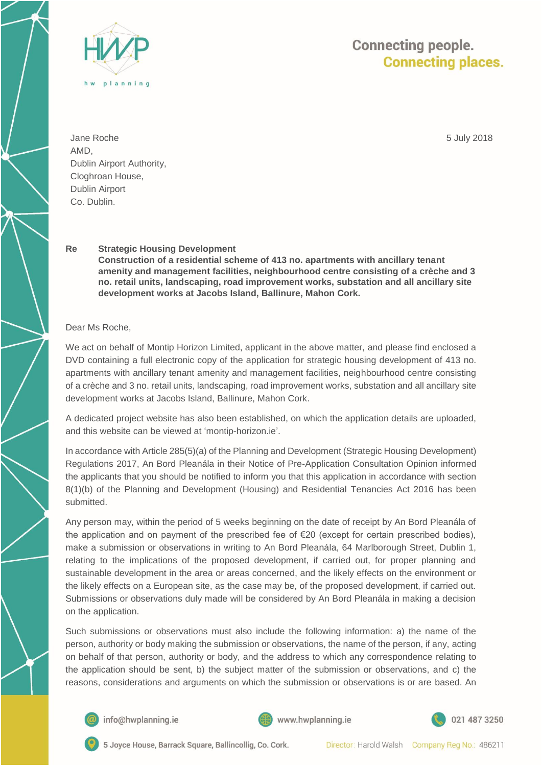

## **Connecting people. Connecting places.**

Jane Roche AMD, Dublin Airport Authority, Cloghroan House, Dublin Airport Co. Dublin.

5 July 2018

## **Re Strategic Housing Development**

**Construction of a residential scheme of 413 no. apartments with ancillary tenant amenity and management facilities, neighbourhood centre consisting of a crèche and 3 no. retail units, landscaping, road improvement works, substation and all ancillary site development works at Jacobs Island, Ballinure, Mahon Cork.**

Dear Ms Roche,

We act on behalf of Montip Horizon Limited, applicant in the above matter, and please find enclosed a DVD containing a full electronic copy of the application for strategic housing development of 413 no. apartments with ancillary tenant amenity and management facilities, neighbourhood centre consisting of a crèche and 3 no. retail units, landscaping, road improvement works, substation and all ancillary site development works at Jacobs Island, Ballinure, Mahon Cork.

A dedicated project website has also been established, on which the application details are uploaded, and this website can be viewed at 'montip-horizon.ie'.

In accordance with Article 285(5)(a) of the Planning and Development (Strategic Housing Development) Regulations 2017, An Bord Pleanála in their Notice of Pre-Application Consultation Opinion informed the applicants that you should be notified to inform you that this application in accordance with section 8(1)(b) of the Planning and Development (Housing) and Residential Tenancies Act 2016 has been submitted.

Any person may, within the period of 5 weeks beginning on the date of receipt by An Bord Pleanála of the application and on payment of the prescribed fee of €20 (except for certain prescribed bodies), make a submission or observations in writing to An Bord Pleanála, 64 Marlborough Street, Dublin 1, relating to the implications of the proposed development, if carried out, for proper planning and sustainable development in the area or areas concerned, and the likely effects on the environment or the likely effects on a European site, as the case may be, of the proposed development, if carried out. Submissions or observations duly made will be considered by An Bord Pleanála in making a decision on the application.

Such submissions or observations must also include the following information: a) the name of the person, authority or body making the submission or observations, the name of the person, if any, acting on behalf of that person, authority or body, and the address to which any correspondence relating to the application should be sent, b) the subject matter of the submission or observations, and c) the reasons, considerations and arguments on which the submission or observations is or are based. An



info@hwplanning.ie